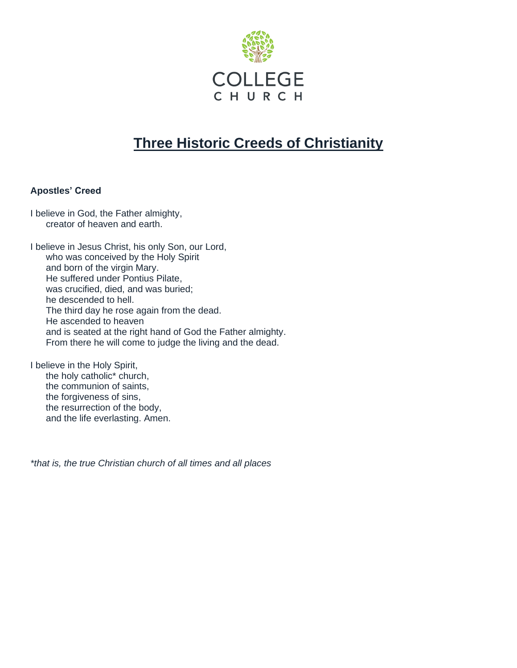

## **Three Historic Creeds of Christianity**

## **Apostles' Creed**

I believe in God, the Father almighty, creator of heaven and earth.

I believe in Jesus Christ, his only Son, our Lord, who was conceived by the Holy Spirit and born of the virgin Mary. He suffered under Pontius Pilate, was crucified, died, and was buried; he descended to hell. The third day he rose again from the dead. He ascended to heaven and is seated at the right hand of God the Father almighty. From there he will come to judge the living and the dead.

I believe in the Holy Spirit, the holy catholic\* church, the communion of saints, the forgiveness of sins, the resurrection of the body, and the life everlasting. Amen.

*\*that is, the true Christian church of all times and all places*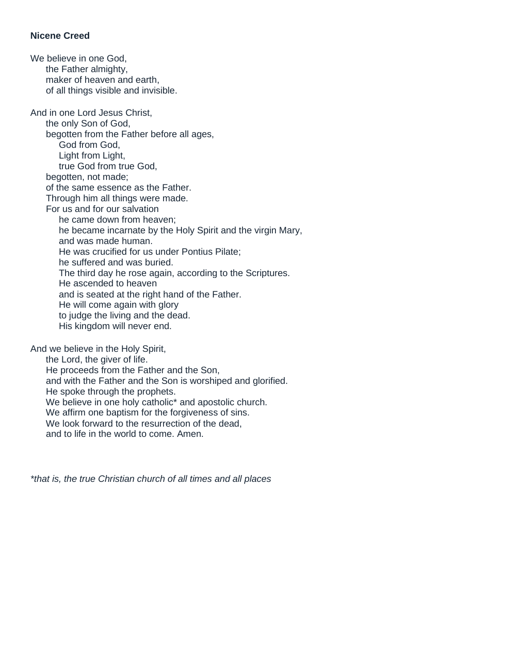## **Nicene Creed**

We believe in one God. the Father almighty, maker of heaven and earth, of all things visible and invisible. And in one Lord Jesus Christ, the only Son of God, begotten from the Father before all ages, God from God, Light from Light, true God from true God, begotten, not made; of the same essence as the Father. Through him all things were made. For us and for our salvation he came down from heaven; he became incarnate by the Holy Spirit and the virgin Mary, and was made human. He was crucified for us under Pontius Pilate; he suffered and was buried. The third day he rose again, according to the Scriptures. He ascended to heaven and is seated at the right hand of the Father. He will come again with glory to judge the living and the dead. His kingdom will never end.

And we believe in the Holy Spirit,

 the Lord, the giver of life. He proceeds from the Father and the Son, and with the Father and the Son is worshiped and glorified. He spoke through the prophets. We believe in one holy catholic<sup>\*</sup> and apostolic church. We affirm one baptism for the forgiveness of sins. We look forward to the resurrection of the dead. and to life in the world to come. Amen.

*\*that is, the true Christian church of all times and all places*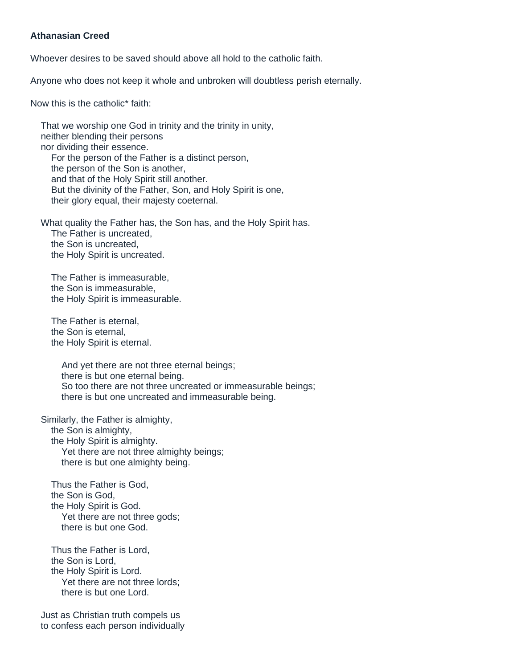## **Athanasian Creed**

Whoever desires to be saved should above all hold to the catholic faith.

Anyone who does not keep it whole and unbroken will doubtless perish eternally.

Now this is the catholic\* faith:

 That we worship one God in trinity and the trinity in unity, neither blending their persons nor dividing their essence. For the person of the Father is a distinct person, the person of the Son is another, and that of the Holy Spirit still another. But the divinity of the Father, Son, and Holy Spirit is one, their glory equal, their majesty coeternal.

 What quality the Father has, the Son has, and the Holy Spirit has. The Father is uncreated, the Son is uncreated, the Holy Spirit is uncreated.

 The Father is immeasurable, the Son is immeasurable, the Holy Spirit is immeasurable.

 The Father is eternal, the Son is eternal, the Holy Spirit is eternal.

 And yet there are not three eternal beings; there is but one eternal being. So too there are not three uncreated or immeasurable beings; there is but one uncreated and immeasurable being.

 Similarly, the Father is almighty, the Son is almighty, the Holy Spirit is almighty. Yet there are not three almighty beings; there is but one almighty being.

 Thus the Father is God, the Son is God, the Holy Spirit is God. Yet there are not three gods; there is but one God.

 Thus the Father is Lord, the Son is Lord, the Holy Spirit is Lord. Yet there are not three lords; there is but one Lord.

 Just as Christian truth compels us to confess each person individually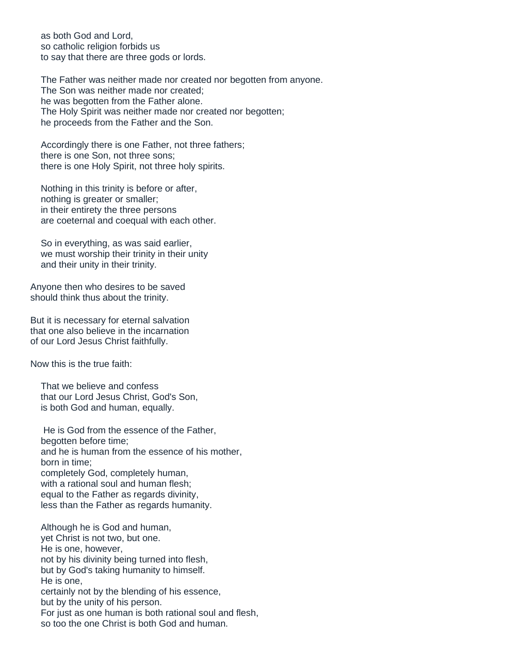as both God and Lord, so catholic religion forbids us to say that there are three gods or lords.

 The Father was neither made nor created nor begotten from anyone. The Son was neither made nor created; he was begotten from the Father alone. The Holy Spirit was neither made nor created nor begotten; he proceeds from the Father and the Son.

 Accordingly there is one Father, not three fathers; there is one Son, not three sons; there is one Holy Spirit, not three holy spirits.

 Nothing in this trinity is before or after, nothing is greater or smaller; in their entirety the three persons are coeternal and coequal with each other.

 So in everything, as was said earlier, we must worship their trinity in their unity and their unity in their trinity.

Anyone then who desires to be saved should think thus about the trinity.

But it is necessary for eternal salvation that one also believe in the incarnation of our Lord Jesus Christ faithfully.

Now this is the true faith:

 That we believe and confess that our Lord Jesus Christ, God's Son, is both God and human, equally.

 He is God from the essence of the Father, begotten before time; and he is human from the essence of his mother, born in time; completely God, completely human, with a rational soul and human flesh; equal to the Father as regards divinity, less than the Father as regards humanity.

 Although he is God and human, yet Christ is not two, but one. He is one, however, not by his divinity being turned into flesh, but by God's taking humanity to himself. He is one, certainly not by the blending of his essence, but by the unity of his person. For just as one human is both rational soul and flesh, so too the one Christ is both God and human.